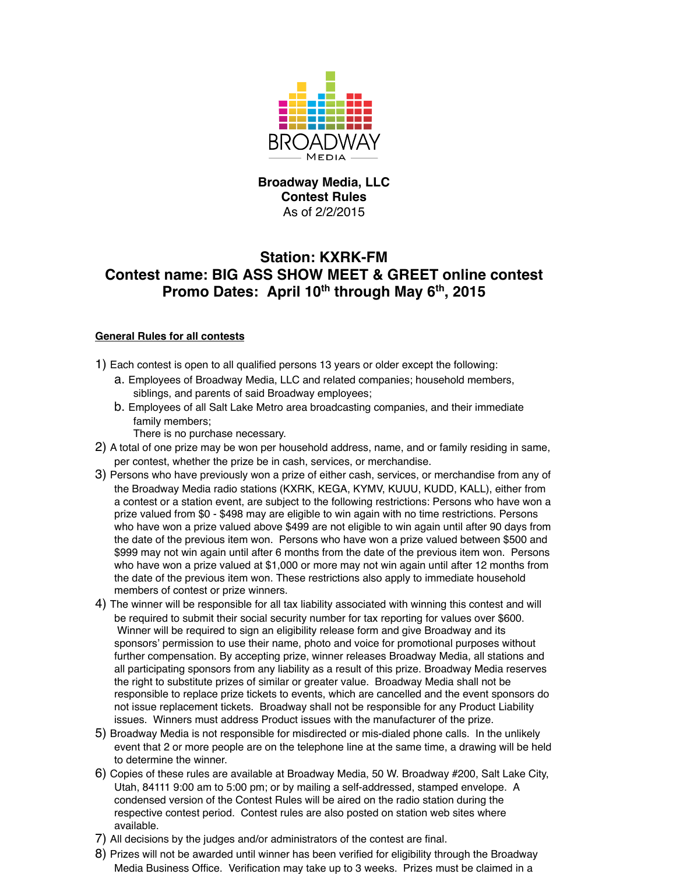

## **Broadway Media, LLC Contest Rules** As of 2/2/2015

## **Station: KXRK-FM Contest name: BIG ASS SHOW MEET & GREET online contest** Promo Dates: April 10<sup>th</sup> through May 6<sup>th</sup>, 2015

## **General Rules for all contests**

- 1) Each contest is open to all qualified persons 13 years or older except the following:
	- a. Employees of Broadway Media, LLC and related companies; household members, siblings, and parents of said Broadway employees;
	- b. Employees of all Salt Lake Metro area broadcasting companies, and their immediate family members;

There is no purchase necessary.

- 2) A total of one prize may be won per household address, name, and or family residing in same, per contest, whether the prize be in cash, services, or merchandise.
- 3) Persons who have previously won a prize of either cash, services, or merchandise from any of the Broadway Media radio stations (KXRK, KEGA, KYMV, KUUU, KUDD, KALL), either from a contest or a station event, are subject to the following restrictions: Persons who have won a prize valued from \$0 - \$498 may are eligible to win again with no time restrictions. Persons who have won a prize valued above \$499 are not eligible to win again until after 90 days from the date of the previous item won. Persons who have won a prize valued between \$500 and \$999 may not win again until after 6 months from the date of the previous item won. Persons who have won a prize valued at \$1,000 or more may not win again until after 12 months from the date of the previous item won. These restrictions also apply to immediate household members of contest or prize winners.
- 4) The winner will be responsible for all tax liability associated with winning this contest and will be required to submit their social security number for tax reporting for values over \$600. Winner will be required to sign an eligibility release form and give Broadway and its sponsors' permission to use their name, photo and voice for promotional purposes without further compensation. By accepting prize, winner releases Broadway Media, all stations and all participating sponsors from any liability as a result of this prize. Broadway Media reserves the right to substitute prizes of similar or greater value. Broadway Media shall not be responsible to replace prize tickets to events, which are cancelled and the event sponsors do not issue replacement tickets. Broadway shall not be responsible for any Product Liability issues. Winners must address Product issues with the manufacturer of the prize.
- 5) Broadway Media is not responsible for misdirected or mis-dialed phone calls. In the unlikely event that 2 or more people are on the telephone line at the same time, a drawing will be held to determine the winner.
- 6) Copies of these rules are available at Broadway Media, 50 W. Broadway #200, Salt Lake City, Utah, 84111 9:00 am to 5:00 pm; or by mailing a self-addressed, stamped envelope. A condensed version of the Contest Rules will be aired on the radio station during the respective contest period. Contest rules are also posted on station web sites where available.
- 7) All decisions by the judges and/or administrators of the contest are final.
- 8) Prizes will not be awarded until winner has been verified for eligibility through the Broadway Media Business Office. Verification may take up to 3 weeks. Prizes must be claimed in a